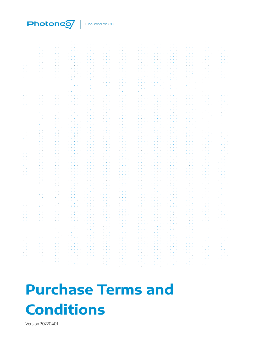

# **Purchase Terms and Conditions**

Version 20220401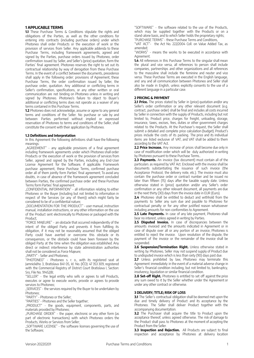# **1 APPLICABLE TERMS**

**1.1** These Purchase Terms & Conditions stipulate the rights and obligations of the Parties, as well as the other conditions for entering into contracts (including purchase orders) under which Photoneo shall order Products or the execution of work or the provision of services from Seller. Any applicable addenda to these Purchase Terms, including framework agreements, agreed and signed by the Parties, purchase orders issued by Photoneo, order confirmation issued by Seller, and Seller's (price) quotation, form the Parties' final agreement. Photoneo reserves the right to set out its contractual relationship by way of derogation from these Purchase Terms. In the event of a conflict between the documents, precedence shall apply in the following order: provisions of Agreement, these Purchase Terms, the order confirmation issued by Seller, the purchase order, quotation. Any additional or conflicting terms in Seller's confirmation, specifications, or any other written or oral communication are not binding on Photoneo unless in writing and signed by Photoneo. Photoneo's failure to object to Buyer's additional or conflicting terms does not operate as a waiver of any terms contained in this Purchase Terms.

**1.2** Photoneo does not acknowledge, assume or agree to any general terms and conditions of the Seller. No purchase or sale by and between Parties performed without implied or expressed reservation of Photoneo to terms and conditions of the Seller, shall constitute the consent with their application by Photoneo.

## **1.3 Definitions and Interpretation**

In this Agreement the following definitions shall have the following meanings:

"AGREEMENT" - any applicable provisions of a final agreement including framework agreements under which Photoneo shall order Products or the execution of work or the provision of services from Seller, agreed and signed by the Parties, including any End-User License Agreement for the Software, if applicable. Framework purchase agreement, these Purchase Terms, confirmed purchase order all of them jointly form Parties' final agreement; To avoid any doubts, in case of absence of the framework agreement concluded between Parties, the confirmed purchase order and these Purchase Terms form Parties' final agreement.

"CONFIDENTIAL INFORMATION" - all information relating to either Photoneo or the Buyer (including but not limited to information in respect of the Services (or any of them)) which might fairly be considered to be of a confidential nature;

"DOCUMENTATION FOR THE PRODUCT" - user manual, instruction manual, installation instructions, or any other information on the use of the Product sent electronically to Photoneo or packaged with the Product;

"FORCE MAJEURE" - an obstacle that occurred independently of the intent of the obliged Party and prevents it from fulfilling its obligation, if it may not be reasonably assumed that the obliged Party could have averted or overcome this obstacle or its consequences, or the obstacle could have been foreseen by the obliged Party at the time when the obligation was established. Any direct or indirect interference by state administration authorities shall not be considered as Force Majeure;

"PARTY" - Seller and Photoneo;

"PHOTONEO" - Photoneo s. r. o., with its registered seat at Jamnického 3, Bratislava 841 05, Id. No. (IČO): 47 353 309, registered with the Commercial Registry of District Court Bratislava I, Section: Sro, File No. 91452/B;

"SELLER" - the legal entity who sells or agrees to sell Products, executes or agree to execute works, provide or agrees to provide services to Photoneo;

"SERVICES" - the services required by the Buyer to be undertaken by Photoneo;

"PARTY" - Photoneo or the Seller;

"PARTIES" - Photoneo and the Seller together;

"PRODUCT" - the goods, equipment, components, parts, and materials provided by Photoneo;

"PURCHASE ORDER" - the paper, electronic or any other form (as part of electronic transactions) with which Photoneo orders the Products, Works or Services from Seller;

"SOFTWARE LICENSE" - the software licenses governing the use of the Software;

"SOFTWARE" - the software related to the use of the Products, which may be supplied together with the Products or on a stand-alone basis, and to which Seller holds the proprietary rights; "PURCHASE TERMS" - these Purchase Terms and Conditions,

"VAT ACT"- the Act No. 222/2004 Coll. on Value Added Tax, as amended;

"WORKS" - means the works to be executed in accordance with Agreement

**1.4** All references in this Purchase Terms to the singular shall mean the plural and vice versa, all references to person shall include companies, partnerships and other organizations and all references to the masculine shall include the feminine and neuter and vice versa. These Purchase Terms are executed in the English language, and any and all communication between Photoneo and Seller shall also be made in English, unless explicitly consents to the use of a different language in a particular case.

## **2 PRICING & PAYMENT**

2.1 **Price.** The prices stated by Seller in (price) quotation and/or any Seller's order confirmation or any other relevant document (e.g. contract, purchase order) shall be final and includes all costs incurred by Seller in connection with the supply of Products, including but not limited to, Product price, charges for freight, unloading, storage, insurance, taxes, excises, fees, duties or other government charges related to the Products. At the Purchaser's request, the Seller shall submit a detailed and complete price calculation (budget). Product's prices include the costs of its packing. The price and its individual items are listed exclusive of VAT, and VAT shall be added to them according to the VAT Act.

**2.2 Price Increase.** Any increase of prices shall become due only in case of modification order which will be duly authorized in writing by Photoneo pursuant to these Purchase Terms..

**2.3 Payments.** An invoice (tax document) must contain all of the particulars as required by VAT Act. Enclosed with the invoice shall be documents substantiating the issuance of such invoice (the Acceptance Protocol, the delivery note, etc.). The invoice must also contain the purchase order or contract number and be issued no later than fifteen (15) days after the taxable supply date. Unless otherwise stated in (price) quotation and/or any Seller's order confirmation or any other relevant document, all payments are due in the next thirty (30) days from the invoice date in EUR (Euro).

**2.4** Photoneo shall be entitled to deduct and withhold from the payments to Seller any sum due and payable to Photoneo for contractual penalty or for any other justified reason whatsoever including amounts for non-conformities to Agreement.

**2.5 Late Payments.** In case of any late payment, Photoneo shall bear no interest, unless agreed in writing by Parties.

**2.5 Disputed Invoice.** In case of discrepancies between the amounts invoiced and the amounts indicated in Agreement or in case of dispute over all or any portion of an invoice, Photoneo is entitled to reject the invoice. Upon resolution of the dispute, the payment of the invoice or the remainder of the invoice shall be suspended.

**2.6 Suspension/Termination Right.** Unless otherwise stated in writing by Photoneo, Seller may not suspend supply of Product due to undisputed invoice which is less than sixty (90) days past due.

**2.7** Unless prohibited by law, Photoneo may terminate this Agreement immediately in the event of a material adverse change in Seller's financial condition including, but not limited to, bankruptcy, insolvency, liquidation or similar financial condition.

**2.8 Set-off Right.** Photoneo is entitled to set off against the price any sum owed to it by the Seller whether under the Agreement or under any other contract or otherwise.

## **3 DELIVERY; TITLE; RISK OF LOSS**

**3.1** The Seller's contractual obligation shall be deemed met upon the due and timely delivery of Product and its acceptance by the Photoneo. The Seller shall deliver Product together with the accompanying documentation.

**3.2** The Purchaser shall acquire the title to Product upon the acceptance thereof, unless agreed otherwise. The risk of damage to the Product shall pass to Photoneo at the moment of accepting the Product from the Seller.

**3.3 Inspection and Rejection.** All Products are subject to final inspection and acceptance by Photoneo at delivery location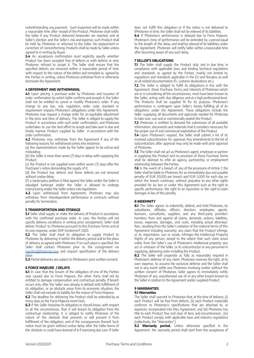notwithstanding any payment. Such inspection will be made within a reasonable time after receipt of the Product. Photoneo shall notify the Seller if any Product delivered hereunder are rejected, and at Seller's election and the Seller's risk and expense, such Product shall be held by Photoneo or returned to the Seller. No replacement or correction of nonconforming Products shall be made by Seller unless agreed to in writing by Buyer.

**3.4** An acceptance confirmation must explicitly specify whether Product has been accepted free of defects or with defects or why Photoneo refused to accept it. The Seller shall ensure that the specified defects are removed within a reasonable period of time with respect to the nature of the defect and remedied as agreed by the Parties in writing, unless Photoneo withdraw from or otherwise terminate the Agreement.

## **4 DEFERMENT AND WITHDRAWAL**

**4.1** Upon placing a purchase order by Photoneo and issuance of order confirmation by which Seller confirms and accepts it, the Seller shall not be entitled to cancel or modify Photoneo's order. If any change to any law, rule, regulation, order, code, standard or requirement impacts Photoneo's obligations under this Agreement, Photoneo may request a change order for an equitable adjustment in the price and time of delivery. The Seller is obliged to supply the Product in accordance with such order confirmation, and Photoneo undertakes to use the best effort to accept and take over in due and timely manner Product supplied by Seller in accordance with the order confirmation.

**4.2** Photoneo may withdraw from the Agreement if any of the following reasons for withdrawal comes into existence:

(a) the representations made by the Seller appear to be untrue and misleading;

(b) the Seller is more than seven (7) days in delay with supplying the Product;

(c) the Product is not supplied even within seven (7) days after the Purchaser's notice demanding the supply of it;

(d) the Product has defects and these defects are not removed without undue delay;

(f) a bankruptcy petition is filed against the Seller and/or the Seller is adjudged bankrupt and/or the Seller is allowed to undergo restructuring and/or the Seller enters into liquidation.

**4.3** Upon withdrawal from Agreement, Photoneo may also withdraw from interdependent performance or contracts without penalty for termination.

# **5 TRANSPORTATION AND STORAGE**

**5.1** Seller shall supply or make the delivery of Product in accordance with the confirmed purchase order. In case, the Parties will not specify delivery conditions in writing prior consignment, Seller shall deliver Product to Photoneo pursuant to this Purchase Terms and at its own expense, under DAP Incoterms® 2020.

**5.2** The Seller shall meet its obligation to supply Product to Photoneo by delivering it within the delivery period and to the place of delivery as agreed with Photoneo; if no such place is specified, the Seller shall contact Photoneo prior to the consignment via [logistics@photoneo.com](mailto:logistics@photoneo.com) and request specification of the delivery place.

**5.3** Partial deliveries are subject to Photoneo's prior written consent.

#### **6 FORCE MAJEURE / DELAYS**

**6.1** In case that the breach of the obligation of one of the Parties was caused due to Force Majeure, the other Party shall not be entitled to damage compensation and contractual penalty. If breach occurs only after the Seller was already in default with fulfillment of its obligation, or an obstacle arose from its economic situation, the Seller shall not exclude its liability for the reason of Force Majeure.

**6.2** The deadline for delivering the Product shall be extended by as many days as the Force Majeure event lasts.

**6.3** If the Seller breaches its obligation or should know, with respect to all the circumstances, that it will breach its obligation from the contractual relationship, it is obliged to notify Photoneo of the nature of the obstacle that prevents or will prevent it from fulfillment of the obligation, and of the consequences thereof. Such notice must be given without undue delay after the Seller learns of the obstacle or could have learned of it if exercising due care. If Seller does not fulfill this obligation or if the notice is not delivered to tPhotoneo in time, the Seller shall not be relieved of its liabilities.

**6.4** If Photoneo's performance is delayed due to Force Majeure, Photoneo's time of performance will be extended by a period equal to the length of the delay and shall be relieved of its liabilities under the Agreement. Photoneo will notify Seller within a reasonable time after becoming aware of any such delay.

#### **7 SELLER'S OBLIGATIONS**

**7.1** The Seller shall supply the Product duly and in due time, in compliance with applicable laws and binding technical regulations and standards as agreed by the Parties, mainly not limited to, regulations and standards applicable in the EU and Slovakia, as well as all related documentation (f.i. customs declarations etc.).

**7.2** The Seller is obliged to fulfill its obligations in line with the Agreement, these Purchase Terms and interests of Photoneo which are or in considering all the circumstances, must have been known to the Seller, acting with due diligence and at a high professional level. The Products shall be supplied fit for its purpose. Photoneo's performance is contingent upon Seller's timely fulfilling all of its obligations under the Agreement. These obligations include the Seller supplying all documents and approvals needed for Photoneo to take over, use and or commercially exploit the Product.

**7.3** Photoneo is entitled to demand the submission of all available information, documents and materials that it considers necessary for the proper use of and commercial exploitation of the Product.

**7.4** Upon Photoneo's request, the Seller shall submit a list of its involved subcontractors for approval. Any amendments to the list of subcontractors after approval may only be made with prior approval of Photoneo.

**7.5** The Seller shall not act as Photoneo's agent, employee or partner in supplying the Product and no provision of these Purchase Terms shall be deemed to infer an agency, partnership, or employment relationship between the Parties.

**7.6** In the event of a breach of any of the provisions of Article 7, the Seller shall be liable to Photoneo for an immediately due and payable penalty of EUR 20,000 per breach and EUR 5,000 for each day on which the breach continues, without prejudice to any other rights provided for by law or under this Agreement such as the right to specific performance, the right to an injunction or the right to claim damages in lieu of this penalty.

#### **8 INDEMNITY**

**8.1** The Seller agrees to indemnify, defend, and hold Photoneo, its subsidiaries, affiliates, officers, directors, employees, agents, licensors, consultants, suppliers, and any third-party providers harmless from and against all claims, demands, actions, liabilities, losses, expenses, damages, and costs, including actual attorneys' fees, resulting from the Seller's violation of the material terms of this Agreement including warranty; any claim that the Product infringe, or its importation, use or resale, infringes the Intellectual Property Rights of any person, except to the extent that such claim arises solely from the Seller's use of Photoneo's intellectual property; any act or omission of the Seller, or its subcontractor or any personnel in supplying, delivering an/or installing the Product.

**8.2** The Seller will cooperate as fully as reasonably required in Photoneo's defense of any claim. Photoneo reserves the right, at its own expense, to assume the exclusive defense and the Seller shall not in any event settle any Photoneo involving matter without the written consent of Photoneo. Seller agrees to immediately notify Photoneo of any unauthorized use of or any other breach known to the Seller in relation to the Agreement and/or supplied Product.

# **9 WARRANTIES**

# **9.1 Warranties**

The Seller shall warrant to Photoneo that at the time of delivery: (i) each Product will be free from defects; (ii) each Product materially conforms to Photoneo's specifications that are attached to, or expressly incorporated into thes Agreement, and (iii) Photoneo has title to each Product free and clear of liens and encumbrances ; (iv) each Product comply with applicable laws and industry regulations (collectively, the "Warranties").

**9.2 Warranty period.** Unless otherwise specified in the Agreement, the warranty period shall start from the acceptance of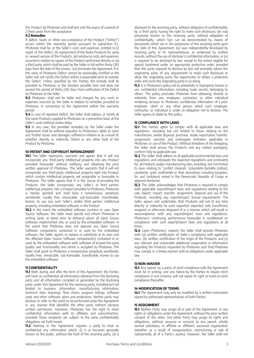the Product by Photoneo and shall last until the expiry of a period of 2 (two) years from the acceptance.

## **9.2 Remedies**

If defect, faults or other non-compliance of the Product ("Defect") occurs within the warranty period pursuant to subsection 9.2, Photoneo shall be, at the Seller's costs and expenses, entitled to (i) repair of the Defect, (ii) replacement of the faulty Products for same or newest version of the Products, (iii) reimburse costs and expenses incurred in relation to repairs of the Product performed directly or via a third party which shall be paid by the Seller in full within thirty (30) days from the date of the invoice, (iv) terminate the Agreement, if in the view of Photoneo Defect cannot be reasonably rectified or the Seller will not rectify the Defect within a reasonable term to remedy the Defect. Unless specified by the Parties, the remedy shall be provided to Photoneo in the shortest possible time and does not exceed the period of thirty (30) days from notification of the Defect by Photoneo to the Seller.

**9.3** Photoneo shall not be liable and charged for any costs or expenses incurred by the Seller in relation to remedies provided to Photoneo in connection to the Agreement within the warranty period.

**9.4** In case of repeated Defect, the Seller shall replace, or rectify all the same Products supplied to Photoneo on a preventive basis at the Seller's costs without undue delay.

**9.5** In any case, the provided remedies by the Seller under the Agreement shall be without prejudice to Photoneo's rights to claim any further losses and damages suffered in relation or as a result of, whether directly or indirectly, Defect or any other fault of the Product by Photoneo.

# **10 PATENT AND COPYRIGHT INFRINGEMENT**

**10.1** The Seller represents, warrants and agrees that it will not incorporate any third-party intellectual property into any Product provided hereunder without notifying and obtaining the prior written approval of Photoneo. The Seller warrants that it will not incorporate any third-party intellectual property right into Product which contain intellectual property not assignable or licensable to Photoneo. The Seller agrees that if in the course of providing the Products, the Seller incorporates any Seller's or third parties' intellectual property into a Product provided to Photoneo, Photoneo is hereby granted and shall have a nonexclusive, perpetual, worldwide, royalty free, irrevocable, sub-licensable, transferable, license, to use any such Seller's and/or third parties' intellectual property, including embedded software, in the Product.

**10.2** In the event the embedded software contains or uses Open Source Software, the Seller must specify and inform Photoneo in writing (and, at latest prior to delivery) about all Open Source Software implemented into or used by the embedded software. In the event that Photoneo does not approve any Open Source Software components contained in or used by the embedded software, the Seller agrees to replace or substitute at its own cost the affected Open Source Software component(s) contained in or used by the embedded software with software of at least the same quality and functionality and which is accepted by Photoneo. The Seller shall grant to Photoneo a nonexclusive, perpetual, worldwide, royalty free, irrevocable, sub-licensable, transferable, license to use the embedded software.

# **11 CONFIDENTIALITY**

**11.1** Both during and after the term of this Agreement, the Parties will treat as confidential all information obtained from the disclosing party and all information compiled or generated by the disclosing party under this Agreement for the receiving party, including but not limited to business information, manufacturing information, technical data, drawings, flow charts, program listings, software code, and other software, plans and projections. Neither party may disclose or refer to the work to be performed under the Agreement in any manner that identifies the other party without advance written permission. However, Photoneo has the right to share confidential information with its affiliates and subcontractors, provided those recipients are subject to the same confidentiality obligations set forth herein.

**11.2** Nothing in the Agreement requires a party to treat as confidential any information which: (i) is or becomes generally known to the public, without the fault of the receiving party; (ii) is

disclosed to the receiving party, without obligation of confidentiality, by a third party having the right to make such disclosure; (iii) was previously known to the receiving party, without obligation of confidentiality, which fact can be demonstrated by means of documents which are in the possession of the receiving party upon the date of this Agreement; (iv) was independently developed by receiving party or its representatives, as evidenced by written records, without the use of discloser's confidential information; or (v) is required to be disclosed by law, except to the extent eligible for special treatment under an appropriate protective order, provided that the party required to disclose by law will promptly advise the originating party of any requirement to make such disclosure to allow the originating party the opportunity to obtain a protective order and assist the originating party in so doing.

**11.3** It is Photoneo's policy not to unlawfully or improperly receive or use confidential information, including trade secrets, belonging to others. This policy precludes Photoneo from obtaining, directly or indirectly from any employee, contractor, or other individual rendering services to Photoneo confidential information of a prior employer, client or any other person which such employee, contractor, or individual is under an obligation not to disclose. The Seller agrees to abide by this policy.

## **12 COMPLIANCE WITH LAWS**

12.1 The Parties agree to comply with all applicable laws and regulations, including but not limited to those relating to the manufacture, waste disposal, purchase, resale, exportation, transfer, assignment, sanction and embargoes limitation applicable to Photoneo or use of the Product. Without limitation of the foregoing, the Seller shall ensure the Products and any related packaging, conform fully to applicable law.

**12.2** The Seller shall adhere to all applicable environmental laws and regulations and anticipate the expected regulations and constraints for all Products and/or manufacturing sites, including, but not limited to laws relating to "conflict minerals" (columbite-tantalite (coltan), cassiterite, gold, wolframite or their derivatives including tungsten, tin and tantalum) mined in the Democratic Republic of Congo or adjacent territories.

**12.3** The Seller acknowledges that Photoneo is required to comply with applicable export/import laws and regulations relating to the sale, export, import, transfer, assignment, disposal and use of the Products, including any export/import license requirements. The Seller agrees and undertakes that Products will not at any time directly or indirectly be used, exported, imported, sold, transferred, assigned or otherwise disposed of in a manner which will result in noncompliance with any export/import laws and regulations. Photoneo's continuing performance hereunder is conditioned on compliance with such export/import laws and regulations at all times.

**12.4** Upon Photoneo's request, the Seller shall provide Photoneo with (a) written certification of Seller's compliance with applicable laws; (b) written certification of the origin of the Products; and (c) any relevant and reasonable additional cooperation or information regarding the Products requested by Photoneo such that Photoneo may comply in a timely manner with its obligations under applicable law.

# **13 NON-WAIVER**

**13.1** Any waiver by a party of strict compliance with the Agreement must be in writing, and any failure by the Parties to require strict compliance in one instance will not waive its right to insist on strict compliance thereafter.

### **14 MODIFICATION OF TERMS**

**14.1** The Agreement may only be modified by a written instrument signed by authorized representatives of both Parties.

## **15 ASSIGNMENT**

**15.1** Neither Party may assign all or part of the Agreement, or any rights or obligations under the Agreement, without the prior written consent of the other; but either Party may assign its rights and obligations, without recourse or consent, to any parent, wholly owned subsidiary, or affiliate or affiliate's successor organization (whether as a result of reorganization, restructuring or sale of substantially all of a Party's assets). However, the Seller shall not